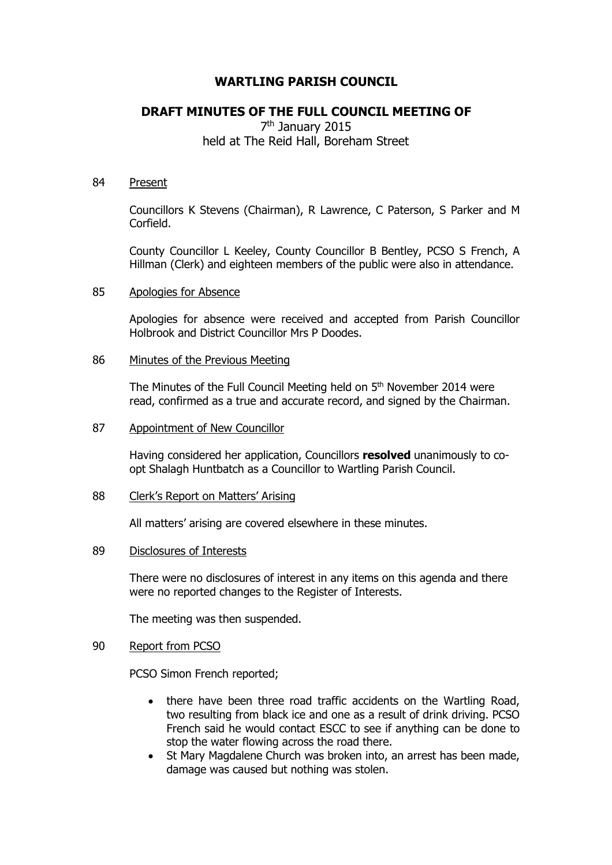# **WARTLING PARISH COUNCIL**

# **DRAFT MINUTES OF THE FULL COUNCIL MEETING OF**

7<sup>th</sup> January 2015 held at The Reid Hall, Boreham Street

#### 84 Present

Councillors K Stevens (Chairman), R Lawrence, C Paterson, S Parker and M Corfield.

County Councillor L Keeley, County Councillor B Bentley, PCSO S French, A Hillman (Clerk) and eighteen members of the public were also in attendance.

#### 85 Apologies for Absence

Apologies for absence were received and accepted from Parish Councillor Holbrook and District Councillor Mrs P Doodes.

### 86 Minutes of the Previous Meeting

The Minutes of the Full Council Meeting held on 5<sup>th</sup> November 2014 were read, confirmed as a true and accurate record, and signed by the Chairman.

#### 87 Appointment of New Councillor

Having considered her application, Councillors **resolved** unanimously to coopt Shalagh Huntbatch as a Councillor to Wartling Parish Council.

#### 88 Clerk's Report on Matters' Arising

All matters' arising are covered elsewhere in these minutes.

#### 89 Disclosures of Interests

There were no disclosures of interest in any items on this agenda and there were no reported changes to the Register of Interests.

The meeting was then suspended.

## 90 Report from PCSO

PCSO Simon French reported;

- there have been three road traffic accidents on the Wartling Road, two resulting from black ice and one as a result of drink driving. PCSO French said he would contact ESCC to see if anything can be done to stop the water flowing across the road there.
- St Mary Magdalene Church was broken into, an arrest has been made, damage was caused but nothing was stolen.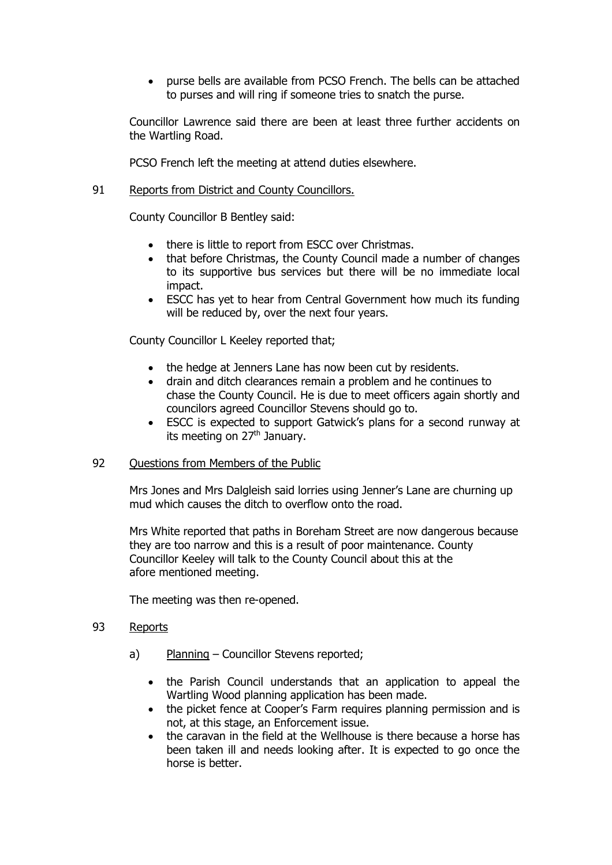purse bells are available from PCSO French. The bells can be attached to purses and will ring if someone tries to snatch the purse.

Councillor Lawrence said there are been at least three further accidents on the Wartling Road.

PCSO French left the meeting at attend duties elsewhere.

# 91 Reports from District and County Councillors.

County Councillor B Bentley said:

- there is little to report from ESCC over Christmas.
- that before Christmas, the County Council made a number of changes to its supportive bus services but there will be no immediate local impact.
- ESCC has yet to hear from Central Government how much its funding will be reduced by, over the next four years.

County Councillor L Keeley reported that;

- the hedge at Jenners Lane has now been cut by residents.
- drain and ditch clearances remain a problem and he continues to chase the County Council. He is due to meet officers again shortly and councilors agreed Councillor Stevens should go to.
- ESCC is expected to support Gatwick's plans for a second runway at its meeting on  $27<sup>th</sup>$  January.

# 92 Ouestions from Members of the Public

Mrs Jones and Mrs Dalgleish said lorries using Jenner's Lane are churning up mud which causes the ditch to overflow onto the road.

Mrs White reported that paths in Boreham Street are now dangerous because they are too narrow and this is a result of poor maintenance. County Councillor Keeley will talk to the County Council about this at the afore mentioned meeting.

The meeting was then re-opened.

### 93 Reports

- a) Planning Councillor Stevens reported;
	- the Parish Council understands that an application to appeal the Wartling Wood planning application has been made.
	- the picket fence at Cooper's Farm requires planning permission and is not, at this stage, an Enforcement issue.
	- the caravan in the field at the Wellhouse is there because a horse has been taken ill and needs looking after. It is expected to go once the horse is better.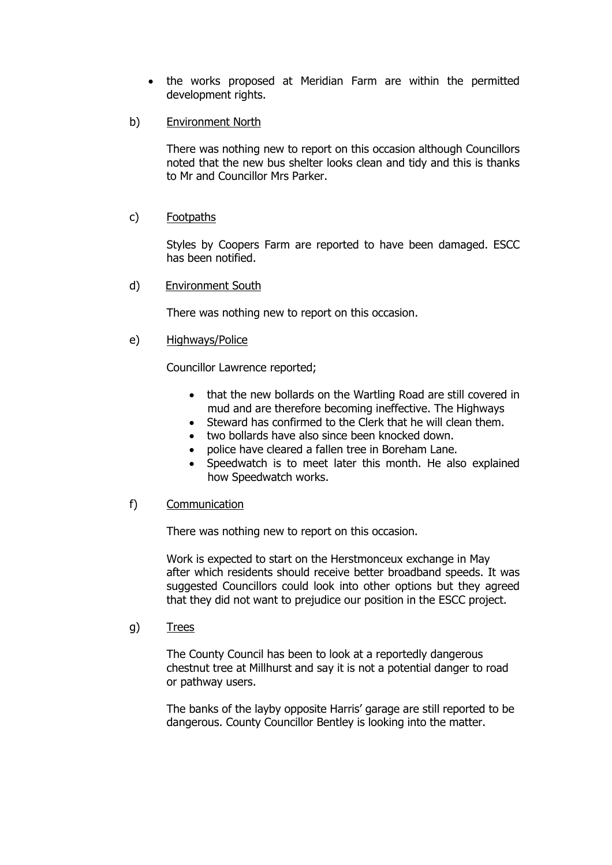- the works proposed at Meridian Farm are within the permitted development rights.
- b) Environment North

There was nothing new to report on this occasion although Councillors noted that the new bus shelter looks clean and tidy and this is thanks to Mr and Councillor Mrs Parker.

### c) Footpaths

Styles by Coopers Farm are reported to have been damaged. ESCC has been notified.

d) Environment South

There was nothing new to report on this occasion.

e) Highways/Police

Councillor Lawrence reported;

- that the new bollards on the Wartling Road are still covered in mud and are therefore becoming ineffective. The Highways
- Steward has confirmed to the Clerk that he will clean them.
- two bollards have also since been knocked down.
- police have cleared a fallen tree in Boreham Lane.
- Speedwatch is to meet later this month. He also explained how Speedwatch works.

#### f) Communication

There was nothing new to report on this occasion.

Work is expected to start on the Herstmonceux exchange in May after which residents should receive better broadband speeds. It was suggested Councillors could look into other options but they agreed that they did not want to prejudice our position in the ESCC project.

g) Trees

The County Council has been to look at a reportedly dangerous chestnut tree at Millhurst and say it is not a potential danger to road or pathway users.

The banks of the layby opposite Harris' garage are still reported to be dangerous. County Councillor Bentley is looking into the matter.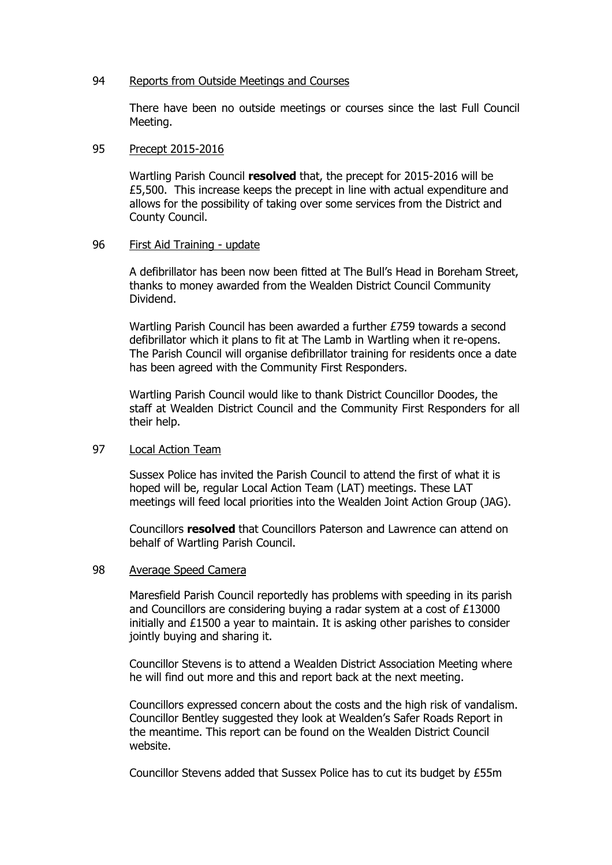#### 94 Reports from Outside Meetings and Courses

There have been no outside meetings or courses since the last Full Council Meeting.

### 95 Precept 2015-2016

Wartling Parish Council **resolved** that, the precept for 2015-2016 will be £5,500. This increase keeps the precept in line with actual expenditure and allows for the possibility of taking over some services from the District and County Council.

### 96 First Aid Training - update

A defibrillator has been now been fitted at The Bull's Head in Boreham Street, thanks to money awarded from the Wealden District Council Community Dividend.

Wartling Parish Council has been awarded a further £759 towards a second defibrillator which it plans to fit at The Lamb in Wartling when it re-opens. The Parish Council will organise defibrillator training for residents once a date has been agreed with the Community First Responders.

Wartling Parish Council would like to thank District Councillor Doodes, the staff at Wealden District Council and the Community First Responders for all their help.

# 97 Local Action Team

Sussex Police has invited the Parish Council to attend the first of what it is hoped will be, regular Local Action Team (LAT) meetings. These LAT meetings will feed local priorities into the Wealden Joint Action Group (JAG).

Councillors **resolved** that Councillors Paterson and Lawrence can attend on behalf of Wartling Parish Council.

## 98 Average Speed Camera

Maresfield Parish Council reportedly has problems with speeding in its parish and Councillors are considering buying a radar system at a cost of £13000 initially and £1500 a year to maintain. It is asking other parishes to consider jointly buying and sharing it.

Councillor Stevens is to attend a Wealden District Association Meeting where he will find out more and this and report back at the next meeting.

Councillors expressed concern about the costs and the high risk of vandalism. Councillor Bentley suggested they look at Wealden's Safer Roads Report in the meantime. This report can be found on the Wealden District Council website.

Councillor Stevens added that Sussex Police has to cut its budget by £55m